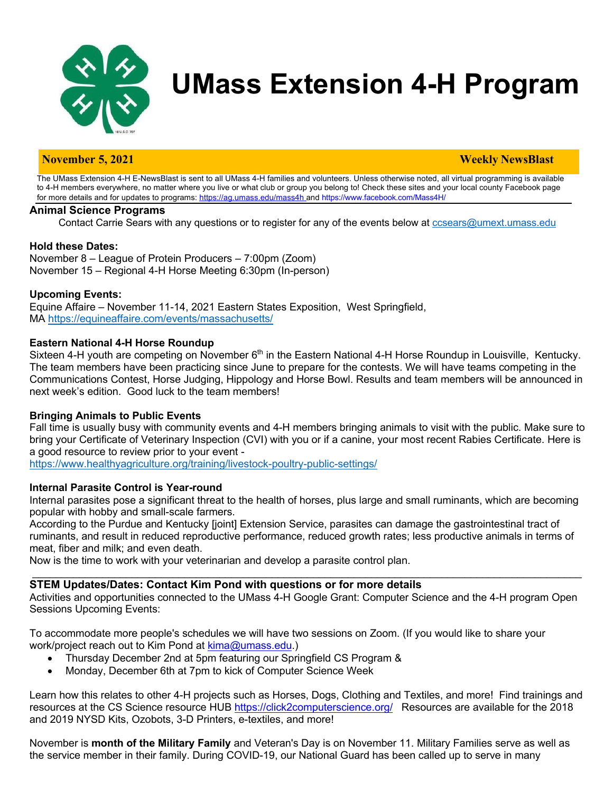

# **UMass Extension 4-H Program**

#### **November 5, 2021 Weekly NewsBlast**

The UMass Extension 4-H E-NewsBlast is sent to all UMass 4-H families and volunteers. Unless otherwise noted, all virtual programming is available to 4-H members everywhere, no matter where you live or what club or group you belong to! Check these sites and your local county Facebook page for more details and for updates to programs: https://ag.umass.edu/mass4h and https://www.facebook.com/Mass4H/

#### **Animal Science Programs**

Contact Carrie Sears with any questions or to register for any of the events below at ccsears@umext.umass.edu

#### **Hold these Dates:**

November 8 – League of Protein Producers – 7:00pm (Zoom) November 15 – Regional 4-H Horse Meeting 6:30pm (In-person)

### **Upcoming Events:**

Equine Affaire – November 11-14, 2021 Eastern States Exposition, West Springfield, MA https://equineaffaire.com/events/massachusetts/

#### **Eastern National 4-H Horse Roundup**

Sixteen 4-H youth are competing on November  $6<sup>th</sup>$  in the Eastern National 4-H Horse Roundup in Louisville, Kentucky. The team members have been practicing since June to prepare for the contests. We will have teams competing in the Communications Contest, Horse Judging, Hippology and Horse Bowl. Results and team members will be announced in next week's edition. Good luck to the team members!

#### **Bringing Animals to Public Events**

Fall time is usually busy with community events and 4-H members bringing animals to visit with the public. Make sure to bring your Certificate of Veterinary Inspection (CVI) with you or if a canine, your most recent Rabies Certificate. Here is a good resource to review prior to your event -

https://www.healthyagriculture.org/training/livestock-poultry-public-settings/

#### **Internal Parasite Control is Year-round**

Internal parasites pose a significant threat to the health of horses, plus large and small ruminants, which are becoming popular with hobby and small-scale farmers.

According to the Purdue and Kentucky [joint] Extension Service, parasites can damage the gastrointestinal tract of ruminants, and result in reduced reproductive performance, reduced growth rates; less productive animals in terms of meat, fiber and milk; and even death.

Now is the time to work with your veterinarian and develop a parasite control plan.

#### **STEM Updates/Dates: Contact Kim Pond with questions or for more details**

Activities and opportunities connected to the UMass 4-H Google Grant: Computer Science and the 4-H program Open Sessions Upcoming Events:

 $\mathcal{L}_\mathcal{L} = \mathcal{L}_\mathcal{L} = \mathcal{L}_\mathcal{L} = \mathcal{L}_\mathcal{L} = \mathcal{L}_\mathcal{L} = \mathcal{L}_\mathcal{L} = \mathcal{L}_\mathcal{L} = \mathcal{L}_\mathcal{L} = \mathcal{L}_\mathcal{L} = \mathcal{L}_\mathcal{L} = \mathcal{L}_\mathcal{L} = \mathcal{L}_\mathcal{L} = \mathcal{L}_\mathcal{L} = \mathcal{L}_\mathcal{L} = \mathcal{L}_\mathcal{L} = \mathcal{L}_\mathcal{L} = \mathcal{L}_\mathcal{L}$ 

To accommodate more people's schedules we will have two sessions on Zoom. (If you would like to share your work/project reach out to Kim Pond at kima@umass.edu.)

- Thursday December 2nd at 5pm featuring our Springfield CS Program &
- Monday, December 6th at 7pm to kick of Computer Science Week

Learn how this relates to other 4-H projects such as Horses, Dogs, Clothing and Textiles, and more! Find trainings and resources at the CS Science resource HUB https://click2computerscience.org/ Resources are available for the 2018 and 2019 NYSD Kits, Ozobots, 3-D Printers, e-textiles, and more!

November is **month of the Military Family** and Veteran's Day is on November 11. Military Families serve as well as the service member in their family. During COVID-19, our National Guard has been called up to serve in many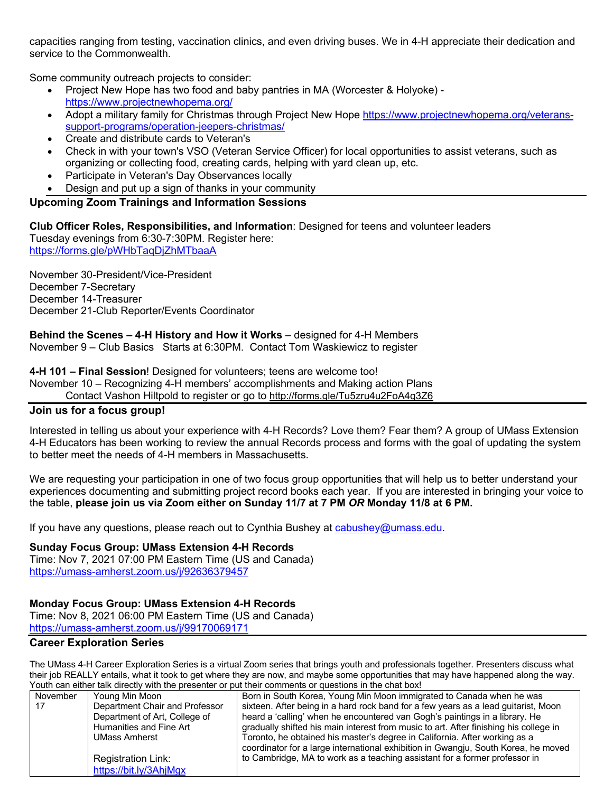capacities ranging from testing, vaccination clinics, and even driving buses. We in 4-H appreciate their dedication and service to the Commonwealth.

Some community outreach projects to consider:

- Project New Hope has two food and baby pantries in MA (Worcester & Holyoke) https://www.projectnewhopema.org/
- Adopt a military family for Christmas through Project New Hope https://www.projectnewhopema.org/veteranssupport-programs/operation-jeepers-christmas/
- Create and distribute cards to Veteran's
- Check in with your town's VSO (Veteran Service Officer) for local opportunities to assist veterans, such as organizing or collecting food, creating cards, helping with yard clean up, etc.
- Participate in Veteran's Day Observances locally
- Design and put up a sign of thanks in your community

# **Upcoming Zoom Trainings and Information Sessions**

**Club Officer Roles, Responsibilities, and Information**: Designed for teens and volunteer leaders Tuesday evenings from 6:30-7:30PM. Register here: https://forms.gle/pWHbTaqDjZhMTbaaA

November 30-President/Vice-President December 7-Secretary December 14-Treasurer December 21-Club Reporter/Events Coordinator

**Behind the Scenes – 4-H History and How it Works** – designed for 4-H Members November 9 – Club Basics Starts at 6:30PM. Contact Tom Waskiewicz to register

**4-H 101 – Final Session**! Designed for volunteers; teens are welcome too!

November 10 – Recognizing 4-H members' accomplishments and Making action Plans

Contact Vashon Hiltpold to register or go to http://forms.gle/Tu5zru4u2FoA4q3Z6

#### **Join us for a focus group!**

Interested in telling us about your experience with 4-H Records? Love them? Fear them? A group of UMass Extension 4-H Educators has been working to review the annual Records process and forms with the goal of updating the system to better meet the needs of 4-H members in Massachusetts.

We are requesting your participation in one of two focus group opportunities that will help us to better understand your experiences documenting and submitting project record books each year. If you are interested in bringing your voice to the table, **please join us via Zoom either on Sunday 11/7 at 7 PM** *OR* **Monday 11/8 at 6 PM.**

If you have any questions, please reach out to Cynthia Bushey at cabushey@umass.edu.

**Sunday Focus Group: UMass Extension 4-H Records** Time: Nov 7, 2021 07:00 PM Eastern Time (US and Canada) https://umass-amherst.zoom.us/j/92636379457

#### **Monday Focus Group: UMass Extension 4-H Records**

Time: Nov 8, 2021 06:00 PM Eastern Time (US and Canada) https://umass-amherst.zoom.us/j/99170069171

## **Career Exploration Series**

The UMass 4-H Career Exploration Series is a virtual Zoom series that brings youth and professionals together. Presenters discuss what their job REALLY entails, what it took to get where they are now, and maybe some opportunities that may have happened along the way. Youth can either talk directly with the presenter or put their comments or questions in the chat box!

| November | Young Min Moon                 | Born in South Korea, Young Min Moon immigrated to Canada when he was                  |
|----------|--------------------------------|---------------------------------------------------------------------------------------|
| 17       | Department Chair and Professor | sixteen. After being in a hard rock band for a few years as a lead guitarist, Moon    |
|          | Department of Art, College of  | heard a 'calling' when he encountered van Gogh's paintings in a library. He           |
|          | Humanities and Fine Art        | gradually shifted his main interest from music to art. After finishing his college in |
|          | <b>UMass Amherst</b>           | Toronto, he obtained his master's degree in California. After working as a            |
|          |                                | coordinator for a large international exhibition in Gwangju, South Korea, he moved    |
|          | Registration Link:             | to Cambridge, MA to work as a teaching assistant for a former professor in            |
|          | https://bit.ly/3AhjMgx         |                                                                                       |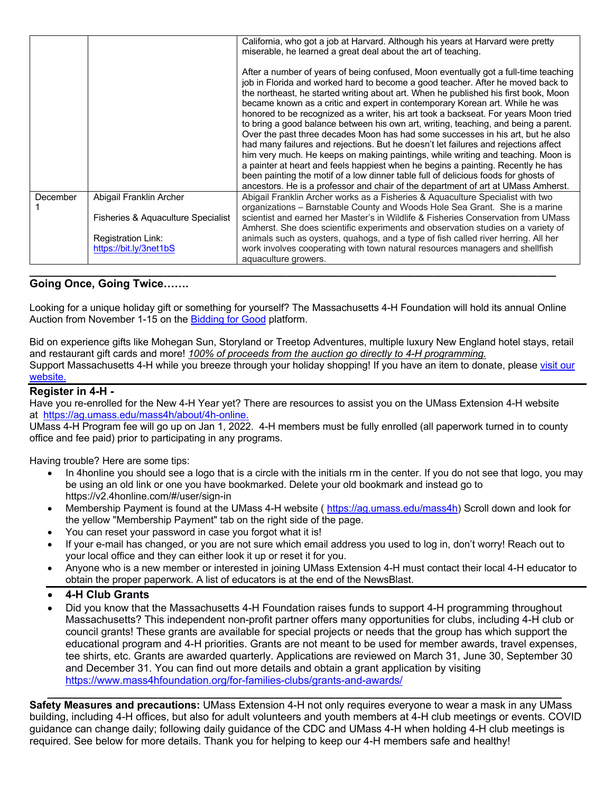|          |                                    | California, who got a job at Harvard. Although his years at Harvard were pretty<br>miserable, he learned a great deal about the art of teaching.                                                                                                                                                                                                                                                                                                                                                                                                                                                                                                                                                                                                                                                                                                                                                                                                                                                                                                          |
|----------|------------------------------------|-----------------------------------------------------------------------------------------------------------------------------------------------------------------------------------------------------------------------------------------------------------------------------------------------------------------------------------------------------------------------------------------------------------------------------------------------------------------------------------------------------------------------------------------------------------------------------------------------------------------------------------------------------------------------------------------------------------------------------------------------------------------------------------------------------------------------------------------------------------------------------------------------------------------------------------------------------------------------------------------------------------------------------------------------------------|
|          |                                    | After a number of years of being confused, Moon eventually got a full-time teaching<br>job in Florida and worked hard to become a good teacher. After he moved back to<br>the northeast, he started writing about art. When he published his first book, Moon<br>became known as a critic and expert in contemporary Korean art. While he was<br>honored to be recognized as a writer, his art took a backseat. For years Moon tried<br>to bring a good balance between his own art, writing, teaching, and being a parent.<br>Over the past three decades Moon has had some successes in his art, but he also<br>had many failures and rejections. But he doesn't let failures and rejections affect<br>him very much. He keeps on making paintings, while writing and teaching. Moon is<br>a painter at heart and feels happiest when he begins a painting. Recently he has<br>been painting the motif of a low dinner table full of delicious foods for ghosts of<br>ancestors. He is a professor and chair of the department of art at UMass Amherst. |
| December | Abigail Franklin Archer            | Abigail Franklin Archer works as a Fisheries & Aquaculture Specialist with two<br>organizations - Barnstable County and Woods Hole Sea Grant. She is a marine                                                                                                                                                                                                                                                                                                                                                                                                                                                                                                                                                                                                                                                                                                                                                                                                                                                                                             |
|          | Fisheries & Aguaculture Specialist | scientist and earned her Master's in Wildlife & Fisheries Conservation from UMass<br>Amherst. She does scientific experiments and observation studies on a variety of                                                                                                                                                                                                                                                                                                                                                                                                                                                                                                                                                                                                                                                                                                                                                                                                                                                                                     |
|          | <b>Registration Link:</b>          | animals such as oysters, quahogs, and a type of fish called river herring. All her                                                                                                                                                                                                                                                                                                                                                                                                                                                                                                                                                                                                                                                                                                                                                                                                                                                                                                                                                                        |
|          | https://bit.ly/3net1bS             | work involves cooperating with town natural resources managers and shellfish<br>aquaculture growers.                                                                                                                                                                                                                                                                                                                                                                                                                                                                                                                                                                                                                                                                                                                                                                                                                                                                                                                                                      |
|          |                                    |                                                                                                                                                                                                                                                                                                                                                                                                                                                                                                                                                                                                                                                                                                                                                                                                                                                                                                                                                                                                                                                           |

# **Going Once, Going Twice…….**

Looking for a unique holiday gift or something for yourself? The Massachusetts 4-H Foundation will hold its annual Online Auction from November 1-15 on the Bidding for Good platform.

Bid on experience gifts like Mohegan Sun, Storyland or Treetop Adventures, multiple luxury New England hotel stays, retail and restaurant gift cards and more! *100% of proceeds from the auction go directly to 4-H programming.* Support Massachusetts 4-H while you breeze through your holiday shopping! If you have an item to donate, please visit our website.

# **Register in 4-H -**

Have you re-enrolled for the New 4-H Year yet? There are resources to assist you on the UMass Extension 4-H website at https://ag.umass.edu/mass4h/about/4h-online.

UMass 4-H Program fee will go up on Jan 1, 2022. 4-H members must be fully enrolled (all paperwork turned in to county office and fee paid) prior to participating in any programs.

Having trouble? Here are some tips:

- In 4honline you should see a logo that is a circle with the initials rm in the center. If you do not see that logo, you may be using an old link or one you have bookmarked. Delete your old bookmark and instead go to https://v2.4honline.com/#/user/sign-in
- Membership Payment is found at the UMass 4-H website ( https://ag.umass.edu/mass4h) Scroll down and look for the yellow "Membership Payment" tab on the right side of the page.
- You can reset your password in case you forgot what it is!
- If your e-mail has changed, or you are not sure which email address you used to log in, don't worry! Reach out to your local office and they can either look it up or reset it for you.
- Anyone who is a new member or interested in joining UMass Extension 4-H must contact their local 4-H educator to obtain the proper paperwork. A list of educators is at the end of the NewsBlast.
- **4-H Club Grants**
- Did you know that the Massachusetts 4-H Foundation raises funds to support 4-H programming throughout Massachusetts? This independent non-profit partner offers many opportunities for clubs, including 4-H club or council grants! These grants are available for special projects or needs that the group has which support the educational program and 4-H priorities. Grants are not meant to be used for member awards, travel expenses, tee shirts, etc. Grants are awarded quarterly. Applications are reviewed on March 31, June 30, September 30 and December 31. You can find out more details and obtain a grant application by visiting https://www.mass4hfoundation.org/for-families-clubs/grants-and-awards/ **\_\_\_\_\_\_\_\_\_\_\_\_\_\_\_\_\_\_\_\_\_\_\_\_\_\_\_\_\_\_\_\_\_\_\_\_\_\_\_\_\_\_\_\_\_\_\_\_\_\_\_\_\_\_\_\_\_\_\_\_\_\_\_\_\_\_\_\_\_\_\_\_\_\_\_\_\_\_\_\_\_\_\_\_**

**Safety Measures and precautions:** UMass Extension 4-H not only requires everyone to wear a mask in any UMass building, including 4-H offices, but also for adult volunteers and youth members at 4-H club meetings or events. COVID guidance can change daily; following daily guidance of the CDC and UMass 4-H when holding 4-H club meetings is required. See below for more details. Thank you for helping to keep our 4-H members safe and healthy!